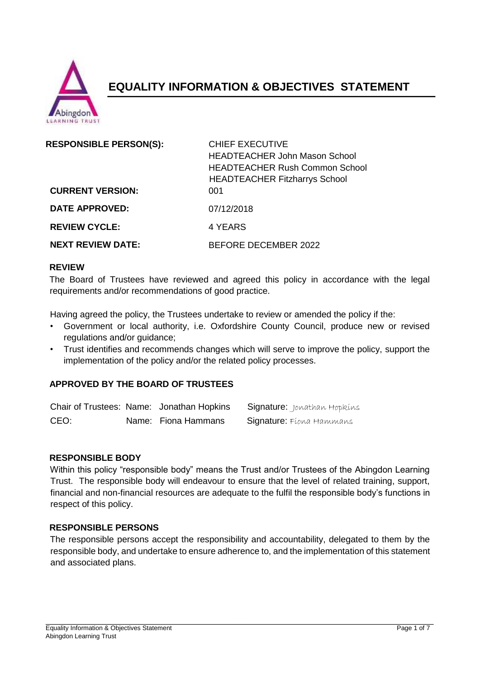

# **EQUALITY INFORMATION & OBJECTIVES STATEMENT**

| <b>RESPONSIBLE PERSON(S):</b><br><b>CURRENT VERSION:</b> | <b>CHIEF EXECUTIVE</b><br><b>HEADTEACHER John Mason School</b><br><b>HEADTEACHER Rush Common School</b><br><b>HEADTEACHER Fitzharrys School</b><br>001 |
|----------------------------------------------------------|--------------------------------------------------------------------------------------------------------------------------------------------------------|
| <b>DATE APPROVED:</b>                                    | 07/12/2018                                                                                                                                             |
| <b>REVIEW CYCLE:</b>                                     | 4 YEARS                                                                                                                                                |
| <b>NEXT REVIEW DATE:</b>                                 | BEFORE DECEMBER 2022                                                                                                                                   |

#### **REVIEW**

The Board of Trustees have reviewed and agreed this policy in accordance with the legal requirements and/or recommendations of good practice.

Having agreed the policy, the Trustees undertake to review or amended the policy if the:

- Government or local authority, i.e. Oxfordshire County Council, produce new or revised regulations and/or guidance;
- Trust identifies and recommends changes which will serve to improve the policy, support the implementation of the policy and/or the related policy processes.

#### **APPROVED BY THE BOARD OF TRUSTEES**

|      | Chair of Trustees: Name: Jonathan Hopkins | <b>Signature:</b> Jonathan Hopkíns |
|------|-------------------------------------------|------------------------------------|
| CEO: | Name: Fiona Hammans                       | <b>Signature:</b> Flona Hammans    |

#### **RESPONSIBLE BODY**

Within this policy "responsible body" means the Trust and/or Trustees of the Abingdon Learning Trust. The responsible body will endeavour to ensure that the level of related training, support, financial and non-financial resources are adequate to the fulfil the responsible body's functions in respect of this policy.

#### **RESPONSIBLE PERSONS**

The responsible persons accept the responsibility and accountability, delegated to them by the responsible body, and undertake to ensure adherence to, and the implementation of this statement and associated plans.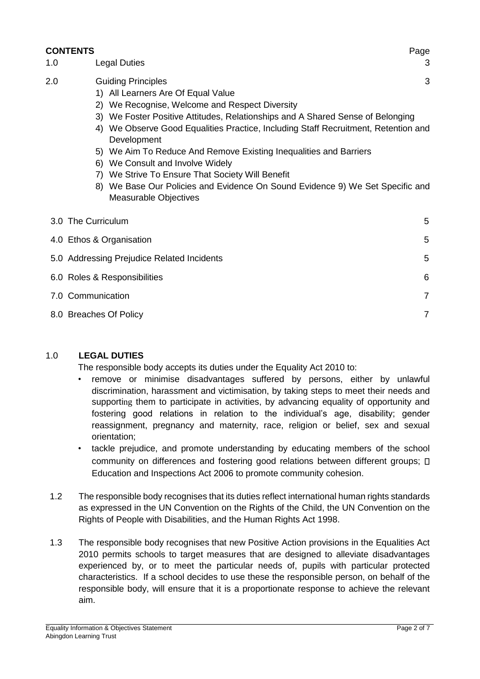## **CONTENTS** Page 1.0 Legal Duties 3 2.0 Guiding Principles 3 1) All Learners Are Of Equal Value 2) We Recognise, Welcome and Respect Diversity 3) We Foster Positive Attitudes, Relationships and A Shared Sense of Belonging 4) We Observe Good Equalities Practice, Including Staff Recruitment, Retention and **Development** 5) We Aim To Reduce And Remove Existing Inequalities and Barriers 6) We Consult and Involve Widely 7) We Strive To Ensure That Society Will Benefit 8) We Base Our Policies and Evidence On Sound Evidence 9) We Set Specific and Measurable Objectives  $3.0$  The Curriculum  $5$

| <b>U.U THE OUTIGUIL</b>                    | ັ              |
|--------------------------------------------|----------------|
| 4.0 Ethos & Organisation                   | 5              |
| 5.0 Addressing Prejudice Related Incidents | 5              |
| 6.0 Roles & Responsibilities               | 6              |
| 7.0 Communication                          | $\overline{7}$ |
| 8.0 Breaches Of Policy                     |                |

#### 1.0 **LEGAL DUTIES**

The responsible body accepts its duties under the Equality Act 2010 to:

- remove or minimise disadvantages suffered by persons, either by unlawful discrimination, harassment and victimisation, by taking steps to meet their needs and supporting them to participate in activities, by advancing equality of opportunity and fostering good relations in relation to the individual's age, disability; gender reassignment, pregnancy and maternity, race, religion or belief, sex and sexual orientation;
- tackle prejudice, and promote understanding by educating members of the school community on differences and fostering good relations between different groups; Education and Inspections Act 2006 to promote community cohesion.
- 1.2 The responsible body recognises that its duties reflect international human rights standards as expressed in the UN Convention on the Rights of the Child, the UN Convention on the Rights of People with Disabilities, and the Human Rights Act 1998.
- 1.3 The responsible body recognises that new Positive Action provisions in the Equalities Act 2010 permits schools to target measures that are designed to alleviate disadvantages experienced by, or to meet the particular needs of, pupils with particular protected characteristics. If a school decides to use these the responsible person, on behalf of the responsible body, will ensure that it is a proportionate response to achieve the relevant aim.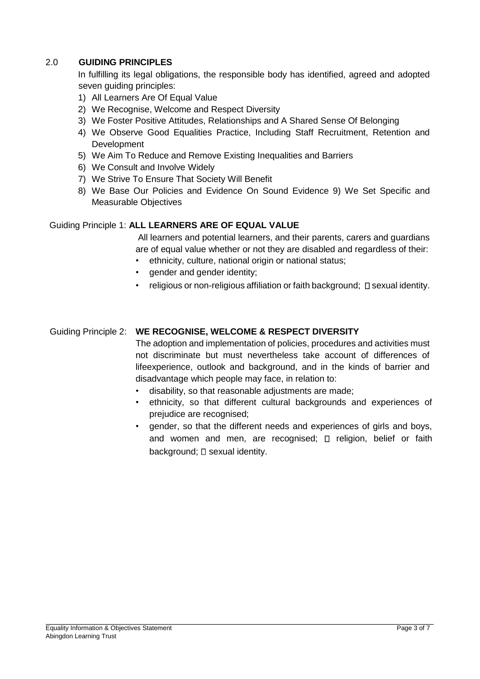### 2.0 **GUIDING PRINCIPLES**

In fulfilling its legal obligations, the responsible body has identified, agreed and adopted seven guiding principles:

- 1) All Learners Are Of Equal Value
- 2) We Recognise, Welcome and Respect Diversity
- 3) We Foster Positive Attitudes, Relationships and A Shared Sense Of Belonging
- 4) We Observe Good Equalities Practice, Including Staff Recruitment, Retention and **Development**
- 5) We Aim To Reduce and Remove Existing Inequalities and Barriers
- 6) We Consult and Involve Widely
- 7) We Strive To Ensure That Society Will Benefit
- 8) We Base Our Policies and Evidence On Sound Evidence 9) We Set Specific and Measurable Objectives

#### Guiding Principle 1: **ALL LEARNERS ARE OF EQUAL VALUE**

All learners and potential learners, and their parents, carers and guardians are of equal value whether or not they are disabled and regardless of their:

- ethnicity, culture, national origin or national status;
- gender and gender identity;
- $r$ eligious or non-religious affiliation or faith background;  $\square$  sexual identity.

#### Guiding Principle 2: **WE RECOGNISE, WELCOME & RESPECT DIVERSITY**

The adoption and implementation of policies, procedures and activities must not discriminate but must nevertheless take account of differences of lifeexperience, outlook and background, and in the kinds of barrier and disadvantage which people may face, in relation to:

- disability, so that reasonable adjustments are made;
- ethnicity, so that different cultural backgrounds and experiences of prejudice are recognised;
- gender, so that the different needs and experiences of girls and boys, and women and men, are recognised;  $\Box$  religion, belief or faith background;  $\square$  sexual identity.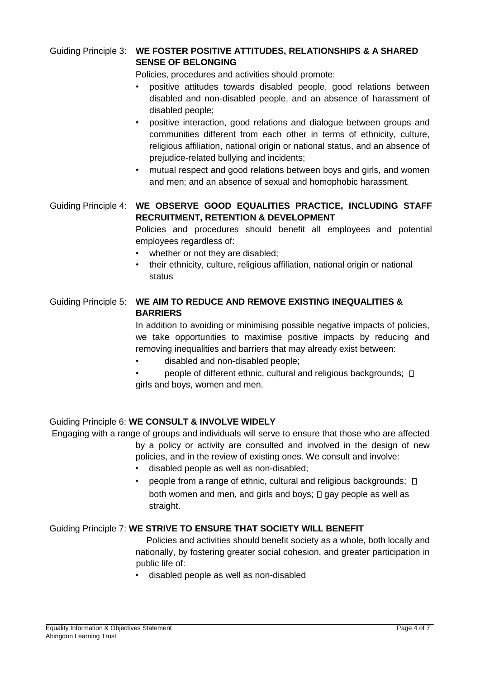### Guiding Principle 3: **WE FOSTER POSITIVE ATTITUDES, RELATIONSHIPS & A SHARED SENSE OF BELONGING**

Policies, procedures and activities should promote:

- positive attitudes towards disabled people, good relations between disabled and non-disabled people, and an absence of harassment of disabled people;
- positive interaction, good relations and dialogue between groups and communities different from each other in terms of ethnicity, culture, religious affiliation, national origin or national status, and an absence of prejudice-related bullying and incidents;
- mutual respect and good relations between boys and girls, and women and men; and an absence of sexual and homophobic harassment.

### Guiding Principle 4: **WE OBSERVE GOOD EQUALITIES PRACTICE, INCLUDING STAFF RECRUITMENT, RETENTION & DEVELOPMENT**

Policies and procedures should benefit all employees and potential employees regardless of:

- whether or not they are disabled;
- their ethnicity, culture, religious affiliation, national origin or national status

### Guiding Principle 5: **WE AIM TO REDUCE AND REMOVE EXISTING INEQUALITIES & BARRIERS**

In addition to avoiding or minimising possible negative impacts of policies, we take opportunities to maximise positive impacts by reducing and removing inequalities and barriers that may already exist between:

- disabled and non-disabled people;
- people of different ethnic, cultural and religious backgrounds;  $\Box$ girls and boys, women and men.

#### Guiding Principle 6: **WE CONSULT & INVOLVE WIDELY**

Engaging with a range of groups and individuals will serve to ensure that those who are affected by a policy or activity are consulted and involved in the design of new policies, and in the review of existing ones. We consult and involve:

- disabled people as well as non-disabled;
- people from a range of ethnic, cultural and religious backgrounds;  $\Box$ both women and men, and girls and boys;  $\Box$  gay people as well as straight.

#### Guiding Principle 7: **WE STRIVE TO ENSURE THAT SOCIETY WILL BENEFIT**

Policies and activities should benefit society as a whole, both locally and nationally, by fostering greater social cohesion, and greater participation in public life of:

• disabled people as well as non-disabled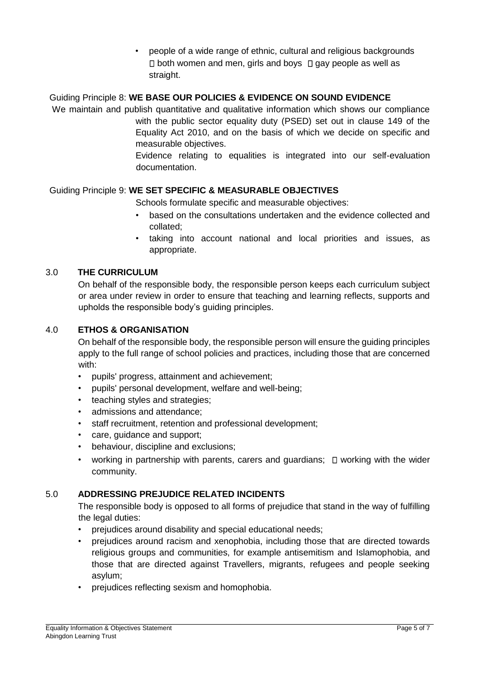• people of a wide range of ethnic, cultural and religious backgrounds  $\Box$  both women and men, girls and boys  $\Box$  gay people as well as straight.

### Guiding Principle 8: **WE BASE OUR POLICIES & EVIDENCE ON SOUND EVIDENCE**

We maintain and publish quantitative and qualitative information which shows our compliance

with the public sector equality duty (PSED) set out in clause 149 of the Equality Act 2010, and on the basis of which we decide on specific and measurable objectives.

Evidence relating to equalities is integrated into our self-evaluation documentation.

### Guiding Principle 9: **WE SET SPECIFIC & MEASURABLE OBJECTIVES**

Schools formulate specific and measurable objectives:

- based on the consultations undertaken and the evidence collected and collated;
- taking into account national and local priorities and issues, as appropriate.

#### <span id="page-4-0"></span>3.0 **THE CURRICULUM**

On behalf of the responsible body, the responsible person keeps each curriculum subject or area under review in order to ensure that teaching and learning reflects, supports and upholds the responsible body's guiding principles.

#### <span id="page-4-1"></span>4.0 **ETHOS & ORGANISATION**

On behalf of the responsible body, the responsible person will ensure the guiding principles apply to the full range of school policies and practices, including those that are concerned with:

- pupils' progress, attainment and achievement;
- pupils' personal development, welfare and well-being;
- teaching styles and strategies;
- admissions and attendance;
- staff recruitment, retention and professional development;
- care, guidance and support;
- behaviour, discipline and exclusions;
- working in partnership with parents, carers and quardians:  $\Box$  working with the wider community.

#### <span id="page-4-2"></span>5.0 **ADDRESSING PREJUDICE RELATED INCIDENTS**

The responsible body is opposed to all forms of prejudice that stand in the way of fulfilling the legal duties:

- prejudices around disability and special educational needs;
- prejudices around racism and xenophobia, including those that are directed towards religious groups and communities, for example antisemitism and Islamophobia, and those that are directed against Travellers, migrants, refugees and people seeking asylum;
- prejudices reflecting sexism and homophobia.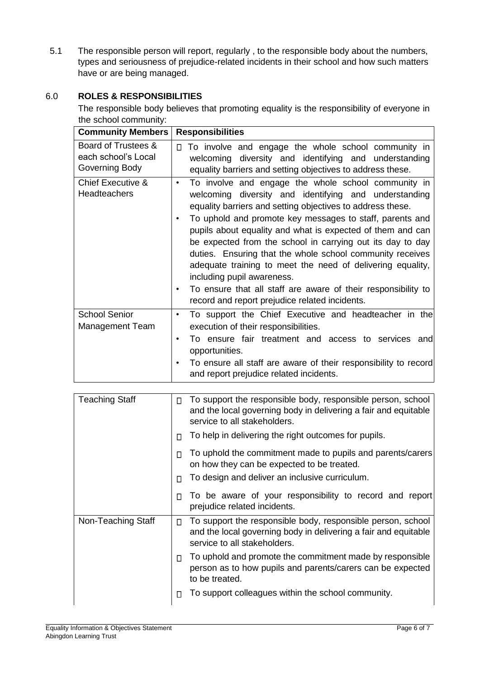5.1 The responsible person will report, regularly , to the responsible body about the numbers, types and seriousness of prejudice-related incidents in their school and how such matters have or are being managed.

### <span id="page-5-0"></span>6.0 **ROLES & RESPONSIBILITIES**

The responsible body believes that promoting equality is the responsibility of everyone in the school community:

| <b>Community Members</b>                                     | <b>Responsibilities</b>                                                                                                                                                                                                                                                                                                                                                                                                                                                                                                                                                                                                                                                               |
|--------------------------------------------------------------|---------------------------------------------------------------------------------------------------------------------------------------------------------------------------------------------------------------------------------------------------------------------------------------------------------------------------------------------------------------------------------------------------------------------------------------------------------------------------------------------------------------------------------------------------------------------------------------------------------------------------------------------------------------------------------------|
| Board of Trustees &<br>each school's Local<br>Governing Body | $\Box$ To involve and engage the whole school community in<br>welcoming diversity and identifying and understanding<br>equality barriers and setting objectives to address these.                                                                                                                                                                                                                                                                                                                                                                                                                                                                                                     |
| <b>Chief Executive &amp;</b><br><b>Headteachers</b>          | To involve and engage the whole school community in<br>$\bullet$<br>welcoming diversity and identifying and understanding<br>equality barriers and setting objectives to address these.<br>To uphold and promote key messages to staff, parents and<br>$\bullet$<br>pupils about equality and what is expected of them and can<br>be expected from the school in carrying out its day to day<br>duties. Ensuring that the whole school community receives<br>adequate training to meet the need of delivering equality,<br>including pupil awareness.<br>To ensure that all staff are aware of their responsibility to<br>$\bullet$<br>record and report prejudice related incidents. |
| <b>School Senior</b><br>Management Team                      | To support the Chief Executive and headteacher in the<br>$\bullet$<br>execution of their responsibilities.<br>To ensure fair treatment and access to services and<br>$\bullet$<br>opportunities.<br>To ensure all staff are aware of their responsibility to record<br>and report prejudice related incidents.                                                                                                                                                                                                                                                                                                                                                                        |

| <b>Teaching Staff</b> | П | To support the responsible body, responsible person, school<br>and the local governing body in delivering a fair and equitable<br>service to all stakeholders. |
|-----------------------|---|----------------------------------------------------------------------------------------------------------------------------------------------------------------|
|                       | П | To help in delivering the right outcomes for pupils.                                                                                                           |
|                       | П | To uphold the commitment made to pupils and parents/carers<br>on how they can be expected to be treated.                                                       |
|                       | П | To design and deliver an inclusive curriculum.                                                                                                                 |
|                       | П | To be aware of your responsibility to record and report<br>prejudice related incidents.                                                                        |
| Non-Teaching Staff    | П | To support the responsible body, responsible person, school<br>and the local governing body in delivering a fair and equitable<br>service to all stakeholders. |
|                       | П | To uphold and promote the commitment made by responsible<br>person as to how pupils and parents/carers can be expected<br>to be treated.                       |
|                       | П | To support colleagues within the school community.                                                                                                             |